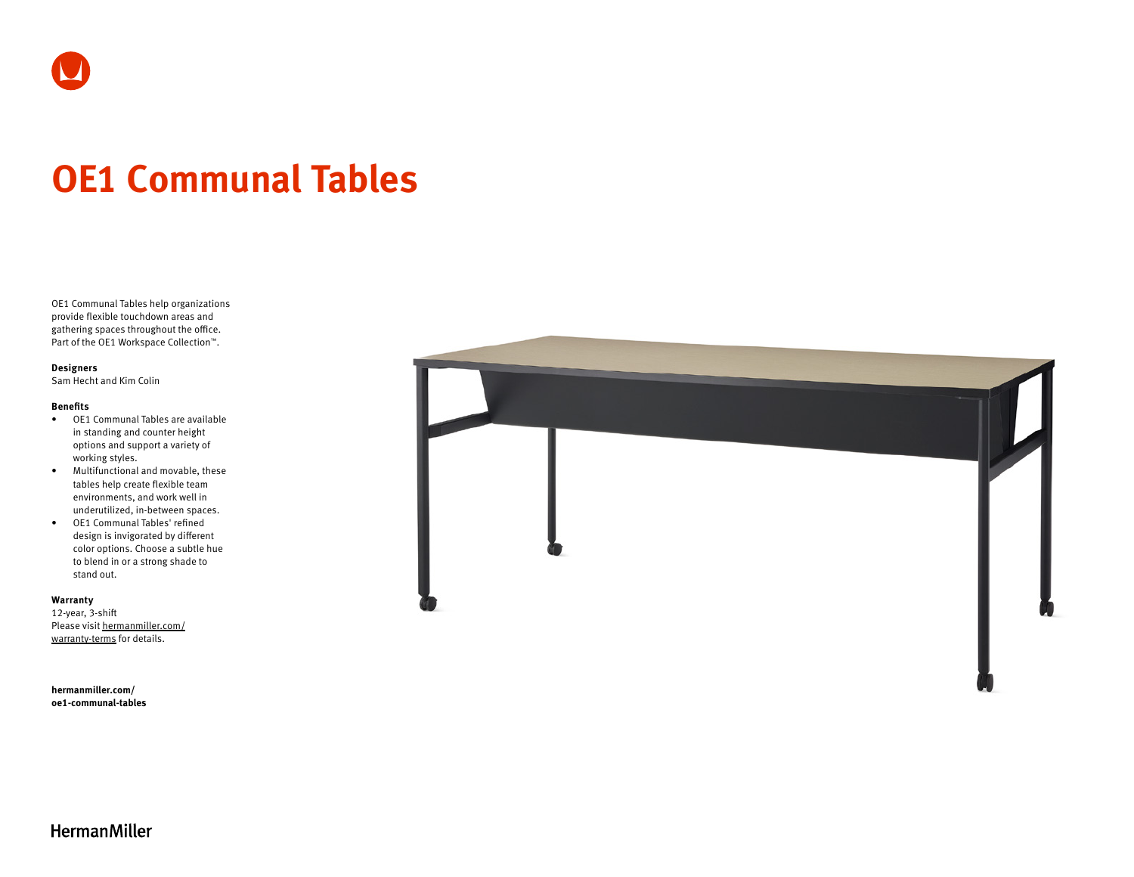

# **OE1 Communal Tables**

OE1 Communal Tables help organizations provide flexible touchdown areas and gathering spaces throughout the office. Part of the OE1 Workspace Collection™.

#### **Designers**

Sam Hecht and Kim Colin

### **Benefits**

- OE1 Communal Tables are available in standing and counter height options and support a variety of working styles.
- Multifunctional and movable, these tables help create flexible team environments, and work well in underutilized, in-between spaces.
- OE1 Communal Tables' refined design is invigorated by different color options. Choose a subtle hue to blend in or a strong shade to stand out.

#### **Warranty**

12-year, 3-shift Please visit [hermanmiller.com/](https://hermanmiller.com/warranty-terms) [warranty-terms](https://hermanmiller.com/warranty-terms) for details.

**[hermanmiller.com/](https://hermanmiller.com/oe1-communal-tables) [oe1-c](https://hermanmiller.com/oe1-communal-tables)ommunal-tables**